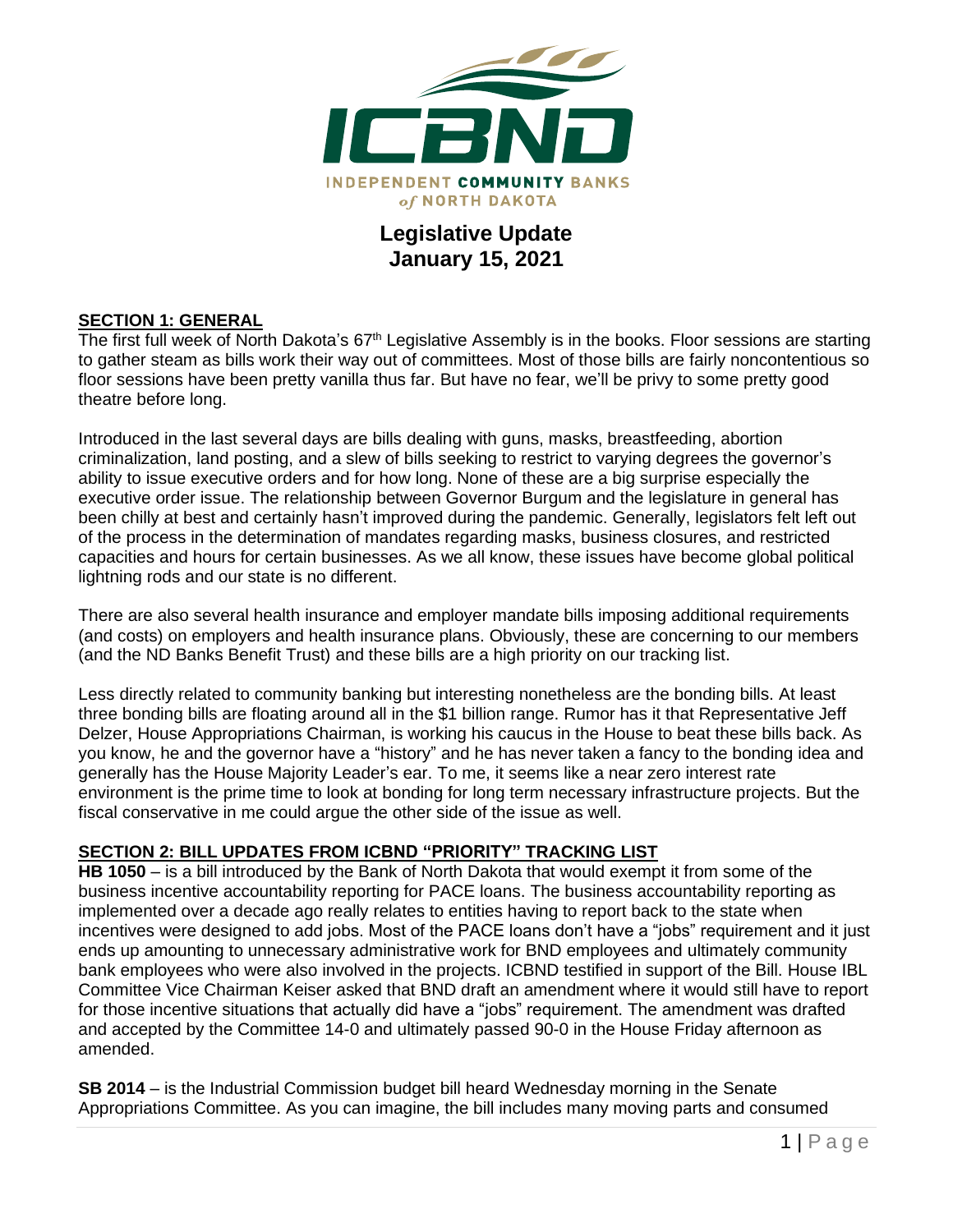

## **Legislative Update January 15, 2021**

#### **SECTION 1: GENERAL**

The first full week of North Dakota's 67<sup>th</sup> Legislative Assembly is in the books. Floor sessions are starting to gather steam as bills work their way out of committees. Most of those bills are fairly noncontentious so floor sessions have been pretty vanilla thus far. But have no fear, we'll be privy to some pretty good theatre before long.

Introduced in the last several days are bills dealing with guns, masks, breastfeeding, abortion criminalization, land posting, and a slew of bills seeking to restrict to varying degrees the governor's ability to issue executive orders and for how long. None of these are a big surprise especially the executive order issue. The relationship between Governor Burgum and the legislature in general has been chilly at best and certainly hasn't improved during the pandemic. Generally, legislators felt left out of the process in the determination of mandates regarding masks, business closures, and restricted capacities and hours for certain businesses. As we all know, these issues have become global political lightning rods and our state is no different.

There are also several health insurance and employer mandate bills imposing additional requirements (and costs) on employers and health insurance plans. Obviously, these are concerning to our members (and the ND Banks Benefit Trust) and these bills are a high priority on our tracking list.

Less directly related to community banking but interesting nonetheless are the bonding bills. At least three bonding bills are floating around all in the \$1 billion range. Rumor has it that Representative Jeff Delzer, House Appropriations Chairman, is working his caucus in the House to beat these bills back. As you know, he and the governor have a "history" and he has never taken a fancy to the bonding idea and generally has the House Majority Leader's ear. To me, it seems like a near zero interest rate environment is the prime time to look at bonding for long term necessary infrastructure projects. But the fiscal conservative in me could argue the other side of the issue as well.

#### **SECTION 2: BILL UPDATES FROM ICBND "PRIORITY" TRACKING LIST**

**HB 1050** – is a bill introduced by the Bank of North Dakota that would exempt it from some of the business incentive accountability reporting for PACE loans. The business accountability reporting as implemented over a decade ago really relates to entities having to report back to the state when incentives were designed to add jobs. Most of the PACE loans don't have a "jobs" requirement and it just ends up amounting to unnecessary administrative work for BND employees and ultimately community bank employees who were also involved in the projects. ICBND testified in support of the Bill. House IBL Committee Vice Chairman Keiser asked that BND draft an amendment where it would still have to report for those incentive situations that actually did have a "jobs" requirement. The amendment was drafted and accepted by the Committee 14-0 and ultimately passed 90-0 in the House Friday afternoon as amended.

**SB 2014** – is the Industrial Commission budget bill heard Wednesday morning in the Senate Appropriations Committee. As you can imagine, the bill includes many moving parts and consumed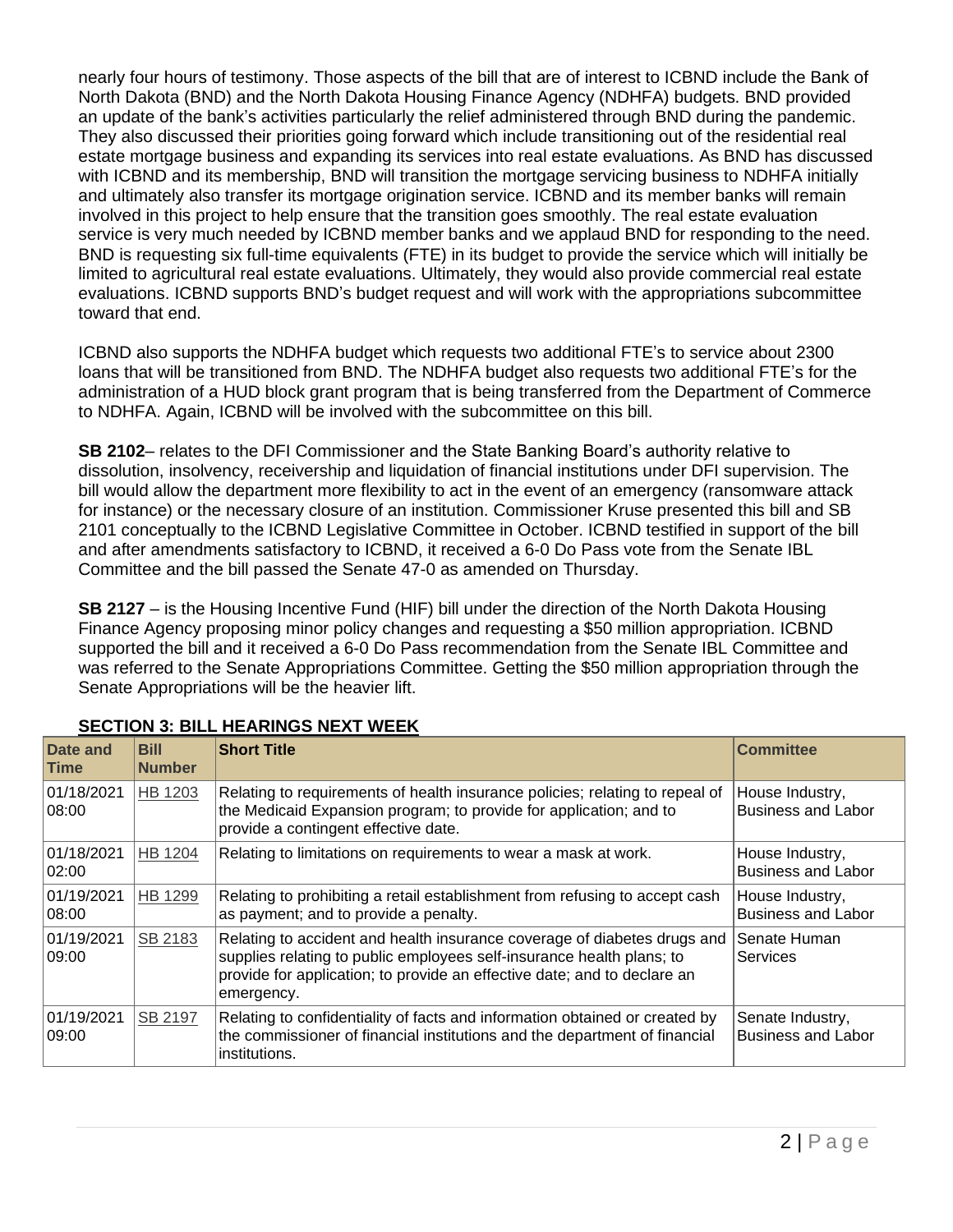nearly four hours of testimony. Those aspects of the bill that are of interest to ICBND include the Bank of North Dakota (BND) and the North Dakota Housing Finance Agency (NDHFA) budgets. BND provided an update of the bank's activities particularly the relief administered through BND during the pandemic. They also discussed their priorities going forward which include transitioning out of the residential real estate mortgage business and expanding its services into real estate evaluations. As BND has discussed with ICBND and its membership, BND will transition the mortgage servicing business to NDHFA initially and ultimately also transfer its mortgage origination service. ICBND and its member banks will remain involved in this project to help ensure that the transition goes smoothly. The real estate evaluation service is very much needed by ICBND member banks and we applaud BND for responding to the need. BND is requesting six full-time equivalents (FTE) in its budget to provide the service which will initially be limited to agricultural real estate evaluations. Ultimately, they would also provide commercial real estate evaluations. ICBND supports BND's budget request and will work with the appropriations subcommittee toward that end.

ICBND also supports the NDHFA budget which requests two additional FTE's to service about 2300 loans that will be transitioned from BND. The NDHFA budget also requests two additional FTE's for the administration of a HUD block grant program that is being transferred from the Department of Commerce to NDHFA. Again, ICBND will be involved with the subcommittee on this bill.

**SB 2102**– relates to the DFI Commissioner and the State Banking Board's authority relative to dissolution, insolvency, receivership and liquidation of financial institutions under DFI supervision. The bill would allow the department more flexibility to act in the event of an emergency (ransomware attack for instance) or the necessary closure of an institution. Commissioner Kruse presented this bill and SB 2101 conceptually to the ICBND Legislative Committee in October. ICBND testified in support of the bill and after amendments satisfactory to ICBND, it received a 6-0 Do Pass vote from the Senate IBL Committee and the bill passed the Senate 47-0 as amended on Thursday.

**SB 2127** – is the Housing Incentive Fund (HIF) bill under the direction of the North Dakota Housing Finance Agency proposing minor policy changes and requesting a \$50 million appropriation. ICBND supported the bill and it received a 6-0 Do Pass recommendation from the Senate IBL Committee and was referred to the Senate Appropriations Committee. Getting the \$50 million appropriation through the Senate Appropriations will be the heavier lift.

| Date and<br><b>Time</b> | <b>Bill</b><br><b>Number</b> | <b>Short Title</b>                                                                                                                                                                                                                          | <b>Committee</b>                              |
|-------------------------|------------------------------|---------------------------------------------------------------------------------------------------------------------------------------------------------------------------------------------------------------------------------------------|-----------------------------------------------|
| 01/18/2021<br>08:00     | HB 1203                      | Relating to requirements of health insurance policies; relating to repeal of<br>the Medicaid Expansion program; to provide for application; and to<br>provide a contingent effective date.                                                  | House Industry,<br><b>Business and Labor</b>  |
| 01/18/2021<br>02:00     | HB 1204                      | Relating to limitations on requirements to wear a mask at work.                                                                                                                                                                             | House Industry,<br><b>Business and Labor</b>  |
| 01/19/2021<br>08:00     | HB 1299                      | Relating to prohibiting a retail establishment from refusing to accept cash<br>as payment; and to provide a penalty.                                                                                                                        | House Industry,<br><b>Business and Labor</b>  |
| 01/19/2021<br>09:00     | SB 2183                      | Relating to accident and health insurance coverage of diabetes drugs and<br>supplies relating to public employees self-insurance health plans; to<br>provide for application; to provide an effective date; and to declare an<br>emergency. | Senate Human<br>Services                      |
| 01/19/2021<br>09:00     | SB 2197                      | Relating to confidentiality of facts and information obtained or created by<br>the commissioner of financial institutions and the department of financial<br>institutions.                                                                  | Senate Industry,<br><b>Business and Labor</b> |

### **SECTION 3: BILL HEARINGS NEXT WEEK**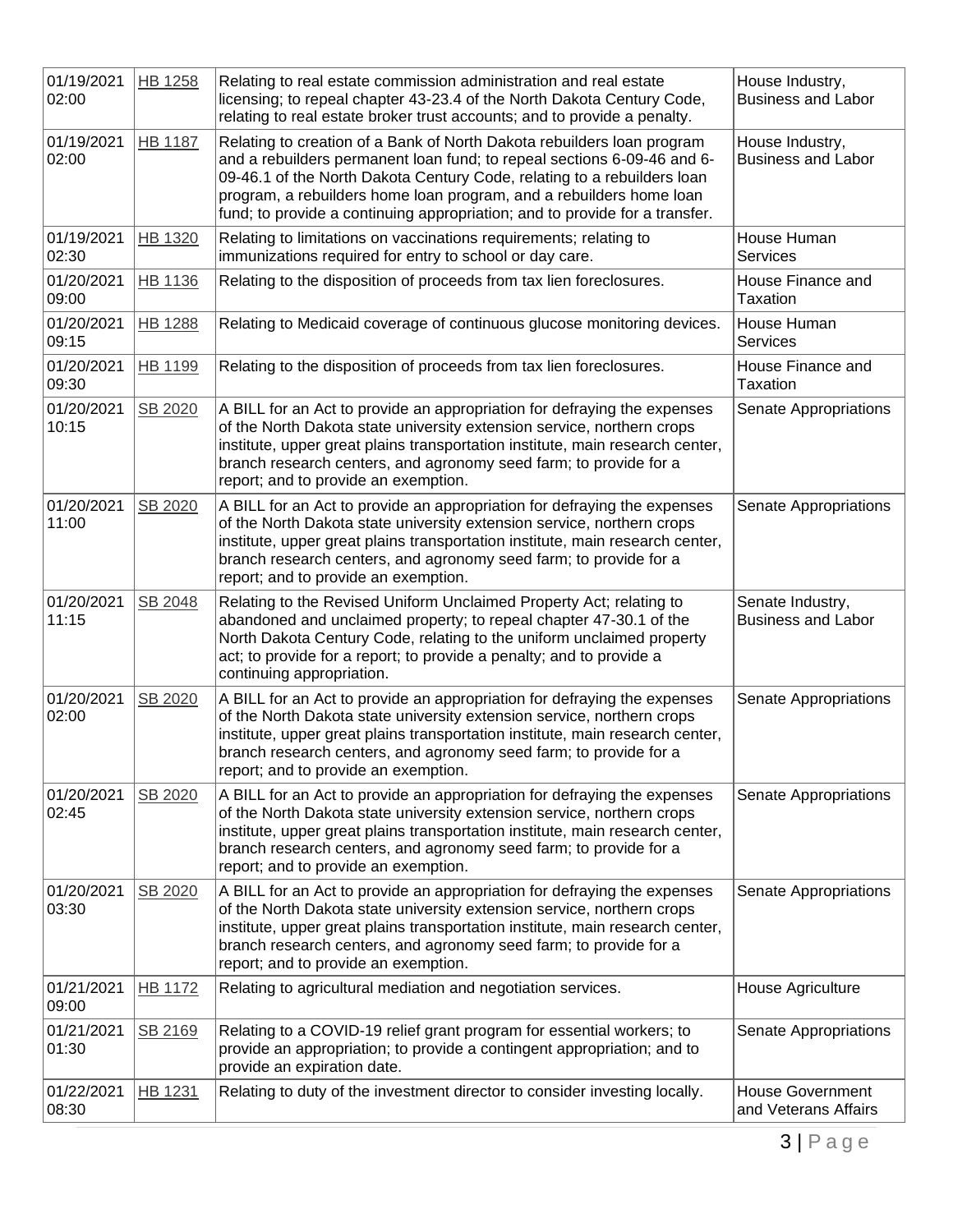| 01/19/2021<br>02:00 | <b>HB 1258</b> | Relating to real estate commission administration and real estate<br>licensing; to repeal chapter 43-23.4 of the North Dakota Century Code,<br>relating to real estate broker trust accounts; and to provide a penalty.                                                                                                                                                            | House Industry,<br><b>Business and Labor</b>    |
|---------------------|----------------|------------------------------------------------------------------------------------------------------------------------------------------------------------------------------------------------------------------------------------------------------------------------------------------------------------------------------------------------------------------------------------|-------------------------------------------------|
| 01/19/2021<br>02:00 | <b>HB 1187</b> | Relating to creation of a Bank of North Dakota rebuilders loan program<br>and a rebuilders permanent loan fund; to repeal sections 6-09-46 and 6-<br>09-46.1 of the North Dakota Century Code, relating to a rebuilders loan<br>program, a rebuilders home loan program, and a rebuilders home loan<br>fund; to provide a continuing appropriation; and to provide for a transfer. | House Industry,<br><b>Business and Labor</b>    |
| 01/19/2021<br>02:30 | HB 1320        | Relating to limitations on vaccinations requirements; relating to<br>immunizations required for entry to school or day care.                                                                                                                                                                                                                                                       | House Human<br>Services                         |
| 01/20/2021<br>09:00 | HB 1136        | Relating to the disposition of proceeds from tax lien foreclosures.                                                                                                                                                                                                                                                                                                                | House Finance and<br>Taxation                   |
| 01/20/2021<br>09:15 | <b>HB 1288</b> | Relating to Medicaid coverage of continuous glucose monitoring devices.                                                                                                                                                                                                                                                                                                            | House Human<br><b>Services</b>                  |
| 01/20/2021<br>09:30 | HB 1199        | Relating to the disposition of proceeds from tax lien foreclosures.                                                                                                                                                                                                                                                                                                                | House Finance and<br><b>Taxation</b>            |
| 01/20/2021<br>10:15 | SB 2020        | A BILL for an Act to provide an appropriation for defraying the expenses<br>of the North Dakota state university extension service, northern crops<br>institute, upper great plains transportation institute, main research center,<br>branch research centers, and agronomy seed farm; to provide for a<br>report; and to provide an exemption.                                   | Senate Appropriations                           |
| 01/20/2021<br>11:00 | SB 2020        | A BILL for an Act to provide an appropriation for defraying the expenses<br>of the North Dakota state university extension service, northern crops<br>institute, upper great plains transportation institute, main research center,<br>branch research centers, and agronomy seed farm; to provide for a<br>report; and to provide an exemption.                                   | Senate Appropriations                           |
| 01/20/2021<br>11:15 | SB 2048        | Relating to the Revised Uniform Unclaimed Property Act; relating to<br>abandoned and unclaimed property; to repeal chapter 47-30.1 of the<br>North Dakota Century Code, relating to the uniform unclaimed property<br>act; to provide for a report; to provide a penalty; and to provide a<br>continuing appropriation.                                                            | Senate Industry,<br><b>Business and Labor</b>   |
| 01/20/2021<br>02:00 | SB 2020        | A BILL for an Act to provide an appropriation for defraying the expenses<br>of the North Dakota state university extension service, northern crops<br>institute, upper great plains transportation institute, main research center,<br>branch research centers, and agronomy seed farm; to provide for a<br>report; and to provide an exemption.                                   | Senate Appropriations                           |
| 01/20/2021<br>02:45 | SB 2020        | A BILL for an Act to provide an appropriation for defraying the expenses<br>of the North Dakota state university extension service, northern crops<br>institute, upper great plains transportation institute, main research center,<br>branch research centers, and agronomy seed farm; to provide for a<br>report; and to provide an exemption.                                   | Senate Appropriations                           |
| 01/20/2021<br>03:30 | SB 2020        | A BILL for an Act to provide an appropriation for defraying the expenses<br>of the North Dakota state university extension service, northern crops<br>institute, upper great plains transportation institute, main research center,<br>branch research centers, and agronomy seed farm; to provide for a<br>report; and to provide an exemption.                                   | Senate Appropriations                           |
| 01/21/2021<br>09:00 | HB 1172        | Relating to agricultural mediation and negotiation services.                                                                                                                                                                                                                                                                                                                       | House Agriculture                               |
| 01/21/2021<br>01:30 | SB 2169        | Relating to a COVID-19 relief grant program for essential workers; to<br>provide an appropriation; to provide a contingent appropriation; and to<br>provide an expiration date.                                                                                                                                                                                                    | Senate Appropriations                           |
| 01/22/2021<br>08:30 | <b>HB 1231</b> | Relating to duty of the investment director to consider investing locally.                                                                                                                                                                                                                                                                                                         | <b>House Government</b><br>and Veterans Affairs |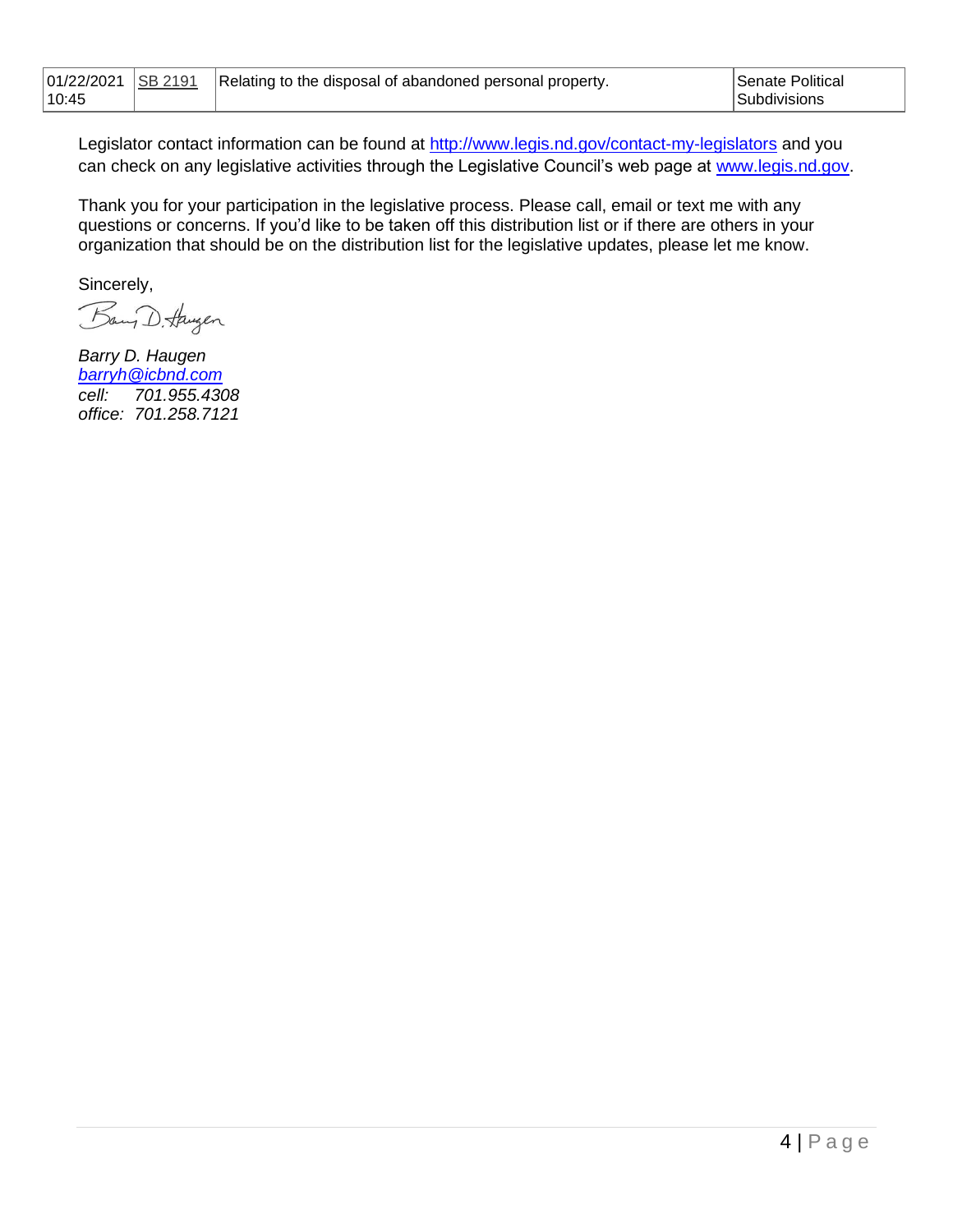| <b>SB 2191</b><br> 01/22/2021<br>10:45 | Relating to the disposal of abandoned personal property. | Senate Political<br>Subdivisions |
|----------------------------------------|----------------------------------------------------------|----------------------------------|
|----------------------------------------|----------------------------------------------------------|----------------------------------|

Legislator contact information can be found at<http://www.legis.nd.gov/contact-my-legislators> and you can check on any legislative activities through the Legislative Council's web page at [www.legis.nd.gov.](http://www.legis.nd.gov/)

Thank you for your participation in the legislative process. Please call, email or text me with any questions or concerns. If you'd like to be taken off this distribution list or if there are others in your organization that should be on the distribution list for the legislative updates, please let me know.

Sincerely,

Bang D. Haugen

*Barry D. Haugen [barryh@icbnd.com](mailto:barryh@icbnd.com) cell: 701.955.4308 office: 701.258.7121*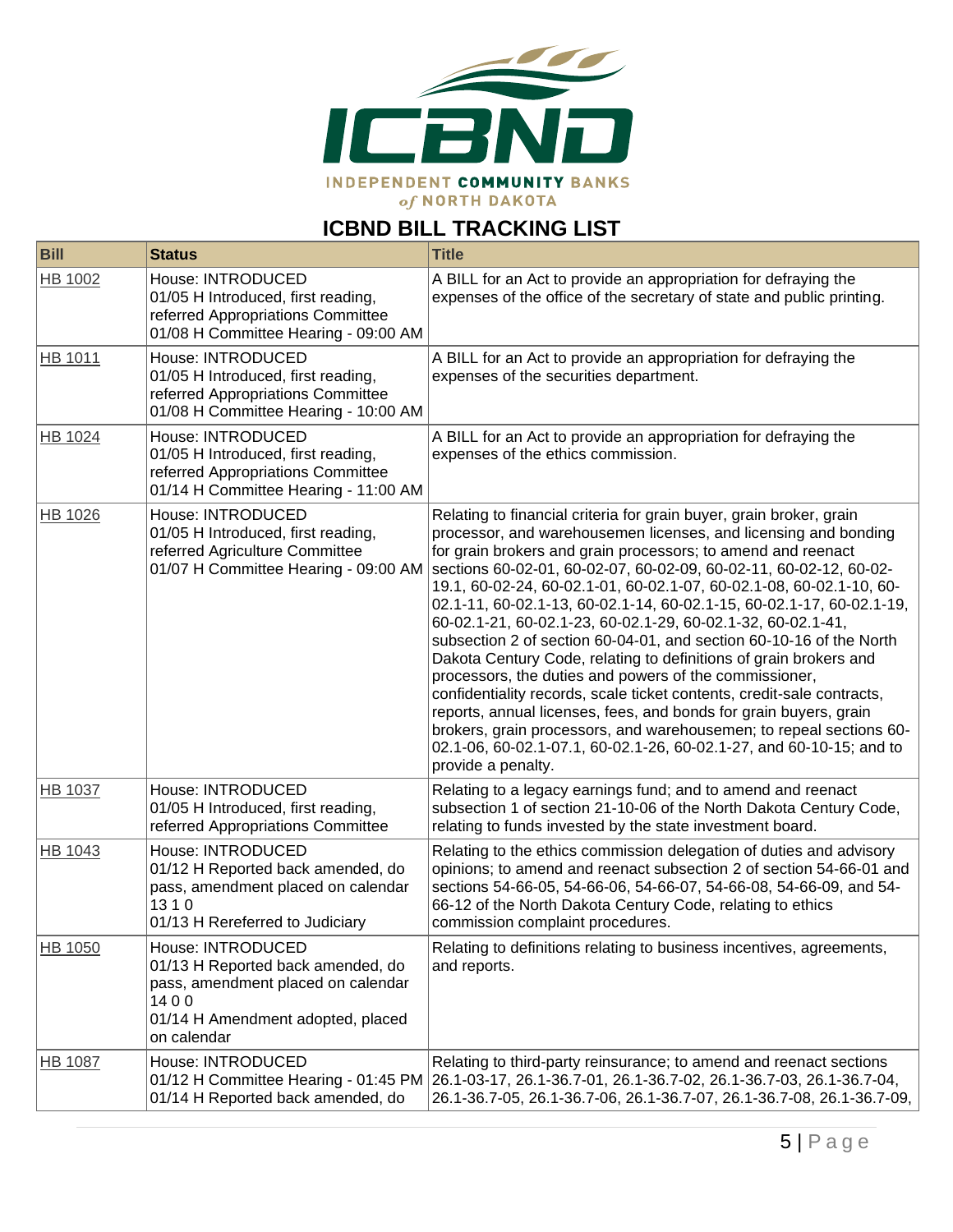

# **ICBND BILL TRACKING LIST**

| <b>Bill</b>    | <b>Status</b>                                                                                                                                            | <b>Title</b>                                                                                                                                                                                                                                                                                                                                                                                                                                                                                                                                                                                                                                                                                                                                                                                                                                                                                                                                                                                                       |
|----------------|----------------------------------------------------------------------------------------------------------------------------------------------------------|--------------------------------------------------------------------------------------------------------------------------------------------------------------------------------------------------------------------------------------------------------------------------------------------------------------------------------------------------------------------------------------------------------------------------------------------------------------------------------------------------------------------------------------------------------------------------------------------------------------------------------------------------------------------------------------------------------------------------------------------------------------------------------------------------------------------------------------------------------------------------------------------------------------------------------------------------------------------------------------------------------------------|
| HB 1002        | House: INTRODUCED<br>01/05 H Introduced, first reading,<br>referred Appropriations Committee<br>01/08 H Committee Hearing - 09:00 AM                     | A BILL for an Act to provide an appropriation for defraying the<br>expenses of the office of the secretary of state and public printing.                                                                                                                                                                                                                                                                                                                                                                                                                                                                                                                                                                                                                                                                                                                                                                                                                                                                           |
| HB 1011        | House: INTRODUCED<br>01/05 H Introduced, first reading,<br>referred Appropriations Committee<br>01/08 H Committee Hearing - 10:00 AM                     | A BILL for an Act to provide an appropriation for defraying the<br>expenses of the securities department.                                                                                                                                                                                                                                                                                                                                                                                                                                                                                                                                                                                                                                                                                                                                                                                                                                                                                                          |
| HB 1024        | House: INTRODUCED<br>01/05 H Introduced, first reading,<br>referred Appropriations Committee<br>01/14 H Committee Hearing - 11:00 AM                     | A BILL for an Act to provide an appropriation for defraying the<br>expenses of the ethics commission.                                                                                                                                                                                                                                                                                                                                                                                                                                                                                                                                                                                                                                                                                                                                                                                                                                                                                                              |
| HB 1026        | House: INTRODUCED<br>01/05 H Introduced, first reading,<br>referred Agriculture Committee<br>01/07 H Committee Hearing - 09:00 AM                        | Relating to financial criteria for grain buyer, grain broker, grain<br>processor, and warehousemen licenses, and licensing and bonding<br>for grain brokers and grain processors; to amend and reenact<br>sections 60-02-01, 60-02-07, 60-02-09, 60-02-11, 60-02-12, 60-02-<br>19.1, 60-02-24, 60-02.1-01, 60-02.1-07, 60-02.1-08, 60-02.1-10, 60-<br>02.1-11, 60-02.1-13, 60-02.1-14, 60-02.1-15, 60-02.1-17, 60-02.1-19,<br>60-02.1-21, 60-02.1-23, 60-02.1-29, 60-02.1-32, 60-02.1-41,<br>subsection 2 of section 60-04-01, and section 60-10-16 of the North<br>Dakota Century Code, relating to definitions of grain brokers and<br>processors, the duties and powers of the commissioner,<br>confidentiality records, scale ticket contents, credit-sale contracts,<br>reports, annual licenses, fees, and bonds for grain buyers, grain<br>brokers, grain processors, and warehousemen; to repeal sections 60-<br>02.1-06, 60-02.1-07.1, 60-02.1-26, 60-02.1-27, and 60-10-15; and to<br>provide a penalty. |
| HB 1037        | House: INTRODUCED<br>01/05 H Introduced, first reading,<br>referred Appropriations Committee                                                             | Relating to a legacy earnings fund; and to amend and reenact<br>subsection 1 of section 21-10-06 of the North Dakota Century Code,<br>relating to funds invested by the state investment board.                                                                                                                                                                                                                                                                                                                                                                                                                                                                                                                                                                                                                                                                                                                                                                                                                    |
| HB 1043        | House: INTRODUCED<br>01/12 H Reported back amended, do<br>pass, amendment placed on calendar<br>1310<br>01/13 H Rereferred to Judiciary                  | Relating to the ethics commission delegation of duties and advisory<br>opinions; to amend and reenact subsection 2 of section 54-66-01 and<br>sections 54-66-05, 54-66-06, 54-66-07, 54-66-08, 54-66-09, and 54-<br>66-12 of the North Dakota Century Code, relating to ethics<br>commission complaint procedures.                                                                                                                                                                                                                                                                                                                                                                                                                                                                                                                                                                                                                                                                                                 |
| HB 1050        | House: INTRODUCED<br>01/13 H Reported back amended, do<br>pass, amendment placed on calendar<br>1400<br>01/14 H Amendment adopted, placed<br>on calendar | Relating to definitions relating to business incentives, agreements,<br>and reports.                                                                                                                                                                                                                                                                                                                                                                                                                                                                                                                                                                                                                                                                                                                                                                                                                                                                                                                               |
| <b>HB 1087</b> | House: INTRODUCED<br>01/14 H Reported back amended, do                                                                                                   | Relating to third-party reinsurance; to amend and reenact sections<br>01/12 H Committee Hearing - 01:45 PM 26.1-03-17, 26.1-36.7-01, 26.1-36.7-02, 26.1-36.7-03, 26.1-36.7-04,<br>26.1-36.7-05, 26.1-36.7-06, 26.1-36.7-07, 26.1-36.7-08, 26.1-36.7-09,                                                                                                                                                                                                                                                                                                                                                                                                                                                                                                                                                                                                                                                                                                                                                            |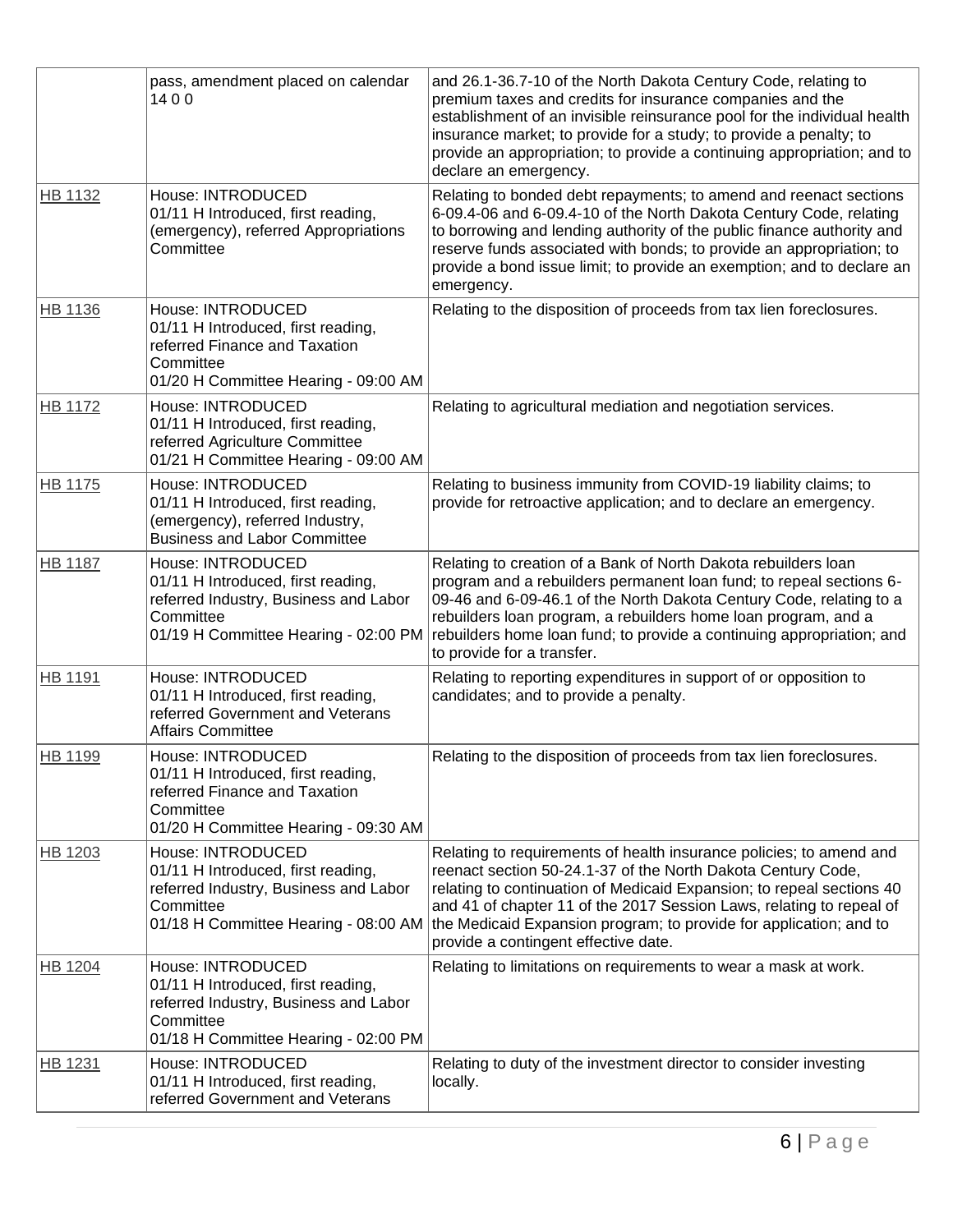|                | pass, amendment placed on calendar<br>1400                                                                                                            | and 26.1-36.7-10 of the North Dakota Century Code, relating to<br>premium taxes and credits for insurance companies and the<br>establishment of an invisible reinsurance pool for the individual health<br>insurance market; to provide for a study; to provide a penalty; to<br>provide an appropriation; to provide a continuing appropriation; and to<br>declare an emergency.                  |
|----------------|-------------------------------------------------------------------------------------------------------------------------------------------------------|----------------------------------------------------------------------------------------------------------------------------------------------------------------------------------------------------------------------------------------------------------------------------------------------------------------------------------------------------------------------------------------------------|
| HB 1132        | House: INTRODUCED<br>01/11 H Introduced, first reading,<br>(emergency), referred Appropriations<br>Committee                                          | Relating to bonded debt repayments; to amend and reenact sections<br>6-09.4-06 and 6-09.4-10 of the North Dakota Century Code, relating<br>to borrowing and lending authority of the public finance authority and<br>reserve funds associated with bonds; to provide an appropriation; to<br>provide a bond issue limit; to provide an exemption; and to declare an<br>emergency.                  |
| HB 1136        | House: INTRODUCED<br>01/11 H Introduced, first reading,<br>referred Finance and Taxation<br>Committee<br>01/20 H Committee Hearing - 09:00 AM         | Relating to the disposition of proceeds from tax lien foreclosures.                                                                                                                                                                                                                                                                                                                                |
| <b>HB 1172</b> | House: INTRODUCED<br>01/11 H Introduced, first reading,<br>referred Agriculture Committee<br>01/21 H Committee Hearing - 09:00 AM                     | Relating to agricultural mediation and negotiation services.                                                                                                                                                                                                                                                                                                                                       |
| <b>HB 1175</b> | House: INTRODUCED<br>01/11 H Introduced, first reading,<br>(emergency), referred Industry,<br><b>Business and Labor Committee</b>                     | Relating to business immunity from COVID-19 liability claims; to<br>provide for retroactive application; and to declare an emergency.                                                                                                                                                                                                                                                              |
| <b>HB 1187</b> | House: INTRODUCED<br>01/11 H Introduced, first reading,<br>referred Industry, Business and Labor<br>Committee<br>01/19 H Committee Hearing - 02:00 PM | Relating to creation of a Bank of North Dakota rebuilders loan<br>program and a rebuilders permanent loan fund; to repeal sections 6-<br>09-46 and 6-09-46.1 of the North Dakota Century Code, relating to a<br>rebuilders loan program, a rebuilders home loan program, and a<br>rebuilders home loan fund; to provide a continuing appropriation; and<br>to provide for a transfer.              |
| <b>HB 1191</b> | House: INTRODUCED<br>01/11 H Introduced, first reading,<br>referred Government and Veterans<br><b>Affairs Committee</b>                               | Relating to reporting expenditures in support of or opposition to<br>candidates; and to provide a penalty.                                                                                                                                                                                                                                                                                         |
| HB 1199        | House: INTRODUCED<br>01/11 H Introduced, first reading,<br>referred Finance and Taxation<br>Committee<br>01/20 H Committee Hearing - 09:30 AM         | Relating to the disposition of proceeds from tax lien foreclosures.                                                                                                                                                                                                                                                                                                                                |
| HB 1203        | House: INTRODUCED<br>01/11 H Introduced, first reading,<br>referred Industry, Business and Labor<br>Committee<br>01/18 H Committee Hearing - 08:00 AM | Relating to requirements of health insurance policies; to amend and<br>reenact section 50-24.1-37 of the North Dakota Century Code,<br>relating to continuation of Medicaid Expansion; to repeal sections 40<br>and 41 of chapter 11 of the 2017 Session Laws, relating to repeal of<br>the Medicaid Expansion program; to provide for application; and to<br>provide a contingent effective date. |
| <b>HB 1204</b> | House: INTRODUCED<br>01/11 H Introduced, first reading,<br>referred Industry, Business and Labor<br>Committee<br>01/18 H Committee Hearing - 02:00 PM | Relating to limitations on requirements to wear a mask at work.                                                                                                                                                                                                                                                                                                                                    |
| HB 1231        | House: INTRODUCED<br>01/11 H Introduced, first reading,<br>referred Government and Veterans                                                           | Relating to duty of the investment director to consider investing<br>locally.                                                                                                                                                                                                                                                                                                                      |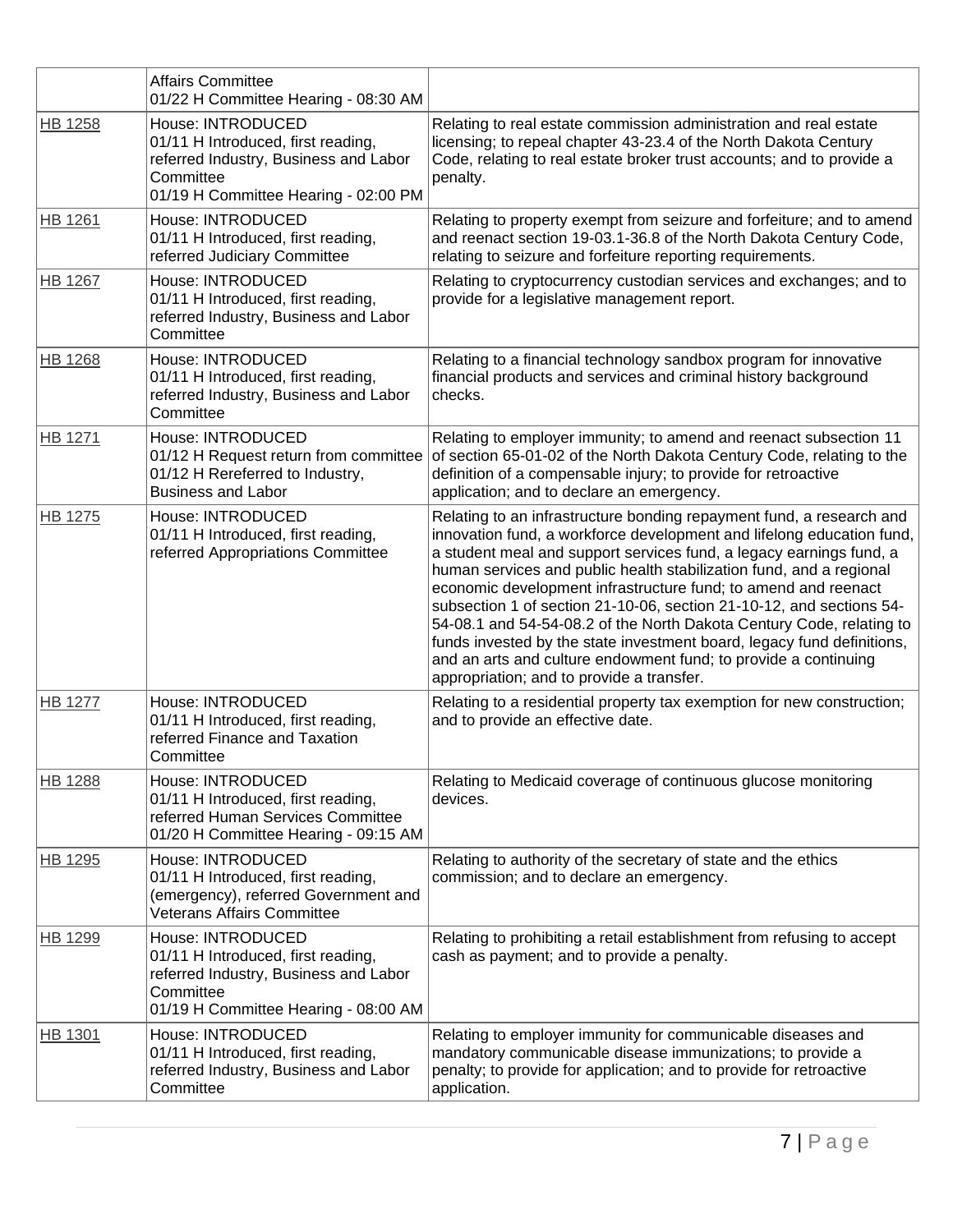|                | <b>Affairs Committee</b><br>01/22 H Committee Hearing - 08:30 AM                                                                                      |                                                                                                                                                                                                                                                                                                                                                                                                                                                                                                                                                                                                                                                                                                         |
|----------------|-------------------------------------------------------------------------------------------------------------------------------------------------------|---------------------------------------------------------------------------------------------------------------------------------------------------------------------------------------------------------------------------------------------------------------------------------------------------------------------------------------------------------------------------------------------------------------------------------------------------------------------------------------------------------------------------------------------------------------------------------------------------------------------------------------------------------------------------------------------------------|
| <b>HB 1258</b> | House: INTRODUCED<br>01/11 H Introduced, first reading,<br>referred Industry, Business and Labor<br>Committee<br>01/19 H Committee Hearing - 02:00 PM | Relating to real estate commission administration and real estate<br>licensing; to repeal chapter 43-23.4 of the North Dakota Century<br>Code, relating to real estate broker trust accounts; and to provide a<br>penalty.                                                                                                                                                                                                                                                                                                                                                                                                                                                                              |
| <b>HB 1261</b> | House: INTRODUCED<br>01/11 H Introduced, first reading,<br>referred Judiciary Committee                                                               | Relating to property exempt from seizure and forfeiture; and to amend<br>and reenact section 19-03.1-36.8 of the North Dakota Century Code,<br>relating to seizure and forfeiture reporting requirements.                                                                                                                                                                                                                                                                                                                                                                                                                                                                                               |
| <b>HB 1267</b> | House: INTRODUCED<br>01/11 H Introduced, first reading,<br>referred Industry, Business and Labor<br>Committee                                         | Relating to cryptocurrency custodian services and exchanges; and to<br>provide for a legislative management report.                                                                                                                                                                                                                                                                                                                                                                                                                                                                                                                                                                                     |
| <b>HB 1268</b> | House: INTRODUCED<br>01/11 H Introduced, first reading,<br>referred Industry, Business and Labor<br>Committee                                         | Relating to a financial technology sandbox program for innovative<br>financial products and services and criminal history background<br>checks.                                                                                                                                                                                                                                                                                                                                                                                                                                                                                                                                                         |
| <b>HB 1271</b> | House: INTRODUCED<br>01/12 H Request return from committee<br>01/12 H Rereferred to Industry,<br><b>Business and Labor</b>                            | Relating to employer immunity; to amend and reenact subsection 11<br>of section 65-01-02 of the North Dakota Century Code, relating to the<br>definition of a compensable injury; to provide for retroactive<br>application; and to declare an emergency.                                                                                                                                                                                                                                                                                                                                                                                                                                               |
| HB 1275        | House: INTRODUCED<br>01/11 H Introduced, first reading,<br>referred Appropriations Committee                                                          | Relating to an infrastructure bonding repayment fund, a research and<br>innovation fund, a workforce development and lifelong education fund,<br>a student meal and support services fund, a legacy earnings fund, a<br>human services and public health stabilization fund, and a regional<br>economic development infrastructure fund; to amend and reenact<br>subsection 1 of section 21-10-06, section 21-10-12, and sections 54-<br>54-08.1 and 54-54-08.2 of the North Dakota Century Code, relating to<br>funds invested by the state investment board, legacy fund definitions,<br>and an arts and culture endowment fund; to provide a continuing<br>appropriation; and to provide a transfer. |
| <b>HB 1277</b> | House: INTRODUCED<br>01/11 H Introduced, first reading,<br>referred Finance and Taxation<br>Committee                                                 | Relating to a residential property tax exemption for new construction;<br>and to provide an effective date.                                                                                                                                                                                                                                                                                                                                                                                                                                                                                                                                                                                             |
| <b>HB 1288</b> | House: INTRODUCED<br>01/11 H Introduced, first reading,<br>referred Human Services Committee<br>01/20 H Committee Hearing - 09:15 AM                  | Relating to Medicaid coverage of continuous glucose monitoring<br>devices.                                                                                                                                                                                                                                                                                                                                                                                                                                                                                                                                                                                                                              |
| HB 1295        | House: INTRODUCED<br>01/11 H Introduced, first reading,<br>(emergency), referred Government and<br><b>Veterans Affairs Committee</b>                  | Relating to authority of the secretary of state and the ethics<br>commission; and to declare an emergency.                                                                                                                                                                                                                                                                                                                                                                                                                                                                                                                                                                                              |
| HB 1299        | House: INTRODUCED<br>01/11 H Introduced, first reading,<br>referred Industry, Business and Labor<br>Committee<br>01/19 H Committee Hearing - 08:00 AM | Relating to prohibiting a retail establishment from refusing to accept<br>cash as payment; and to provide a penalty.                                                                                                                                                                                                                                                                                                                                                                                                                                                                                                                                                                                    |
| HB 1301        | House: INTRODUCED<br>01/11 H Introduced, first reading,<br>referred Industry, Business and Labor<br>Committee                                         | Relating to employer immunity for communicable diseases and<br>mandatory communicable disease immunizations; to provide a<br>penalty; to provide for application; and to provide for retroactive<br>application.                                                                                                                                                                                                                                                                                                                                                                                                                                                                                        |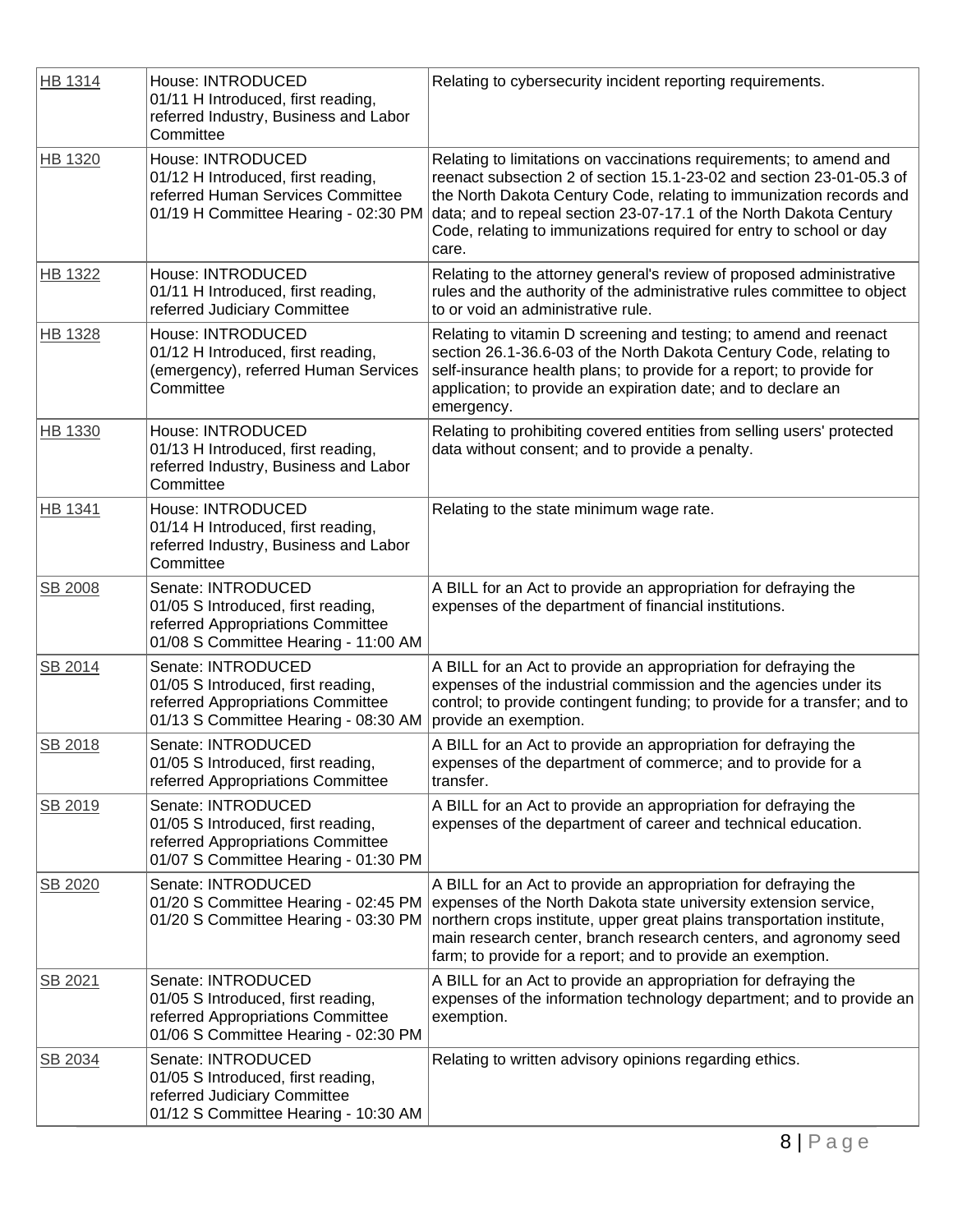| <b>HB 1314</b> | House: INTRODUCED<br>01/11 H Introduced, first reading,<br>referred Industry, Business and Labor<br>Committee                         | Relating to cybersecurity incident reporting requirements.                                                                                                                                                                                                                                                                                                              |
|----------------|---------------------------------------------------------------------------------------------------------------------------------------|-------------------------------------------------------------------------------------------------------------------------------------------------------------------------------------------------------------------------------------------------------------------------------------------------------------------------------------------------------------------------|
| HB 1320        | House: INTRODUCED<br>01/12 H Introduced, first reading,<br>referred Human Services Committee<br>01/19 H Committee Hearing - 02:30 PM  | Relating to limitations on vaccinations requirements; to amend and<br>reenact subsection 2 of section 15.1-23-02 and section 23-01-05.3 of<br>the North Dakota Century Code, relating to immunization records and<br>data; and to repeal section 23-07-17.1 of the North Dakota Century<br>Code, relating to immunizations required for entry to school or day<br>care. |
| <b>HB 1322</b> | House: INTRODUCED<br>01/11 H Introduced, first reading,<br>referred Judiciary Committee                                               | Relating to the attorney general's review of proposed administrative<br>rules and the authority of the administrative rules committee to object<br>to or void an administrative rule.                                                                                                                                                                                   |
| <b>HB 1328</b> | House: INTRODUCED<br>01/12 H Introduced, first reading,<br>(emergency), referred Human Services<br>Committee                          | Relating to vitamin D screening and testing; to amend and reenact<br>section 26.1-36.6-03 of the North Dakota Century Code, relating to<br>self-insurance health plans; to provide for a report; to provide for<br>application; to provide an expiration date; and to declare an<br>emergency.                                                                          |
| HB 1330        | House: INTRODUCED<br>01/13 H Introduced, first reading,<br>referred Industry, Business and Labor<br>Committee                         | Relating to prohibiting covered entities from selling users' protected<br>data without consent; and to provide a penalty.                                                                                                                                                                                                                                               |
| HB 1341        | House: INTRODUCED<br>01/14 H Introduced, first reading,<br>referred Industry, Business and Labor<br>Committee                         | Relating to the state minimum wage rate.                                                                                                                                                                                                                                                                                                                                |
| SB 2008        | Senate: INTRODUCED<br>01/05 S Introduced, first reading,<br>referred Appropriations Committee<br>01/08 S Committee Hearing - 11:00 AM | A BILL for an Act to provide an appropriation for defraying the<br>expenses of the department of financial institutions.                                                                                                                                                                                                                                                |
| SB 2014        | Senate: INTRODUCED<br>01/05 S Introduced, first reading,<br>referred Appropriations Committee<br>01/13 S Committee Hearing - 08:30 AM | A BILL for an Act to provide an appropriation for defraying the<br>expenses of the industrial commission and the agencies under its<br>control; to provide contingent funding; to provide for a transfer; and to<br>provide an exemption.                                                                                                                               |
| SB 2018        | Senate: INTRODUCED<br>01/05 S Introduced, first reading,<br>referred Appropriations Committee                                         | A BILL for an Act to provide an appropriation for defraying the<br>expenses of the department of commerce; and to provide for a<br>transfer.                                                                                                                                                                                                                            |
| SB 2019        | Senate: INTRODUCED<br>01/05 S Introduced, first reading,<br>referred Appropriations Committee<br>01/07 S Committee Hearing - 01:30 PM | A BILL for an Act to provide an appropriation for defraying the<br>expenses of the department of career and technical education.                                                                                                                                                                                                                                        |
| SB 2020        | Senate: INTRODUCED<br>01/20 S Committee Hearing - 02:45 PM<br>01/20 S Committee Hearing - 03:30 PM                                    | A BILL for an Act to provide an appropriation for defraying the<br>expenses of the North Dakota state university extension service,<br>northern crops institute, upper great plains transportation institute,<br>main research center, branch research centers, and agronomy seed<br>farm; to provide for a report; and to provide an exemption.                        |
| SB 2021        | Senate: INTRODUCED<br>01/05 S Introduced, first reading,<br>referred Appropriations Committee<br>01/06 S Committee Hearing - 02:30 PM | A BILL for an Act to provide an appropriation for defraying the<br>expenses of the information technology department; and to provide an<br>exemption.                                                                                                                                                                                                                   |
| SB 2034        | Senate: INTRODUCED<br>01/05 S Introduced, first reading,<br>referred Judiciary Committee<br>01/12 S Committee Hearing - 10:30 AM      | Relating to written advisory opinions regarding ethics.                                                                                                                                                                                                                                                                                                                 |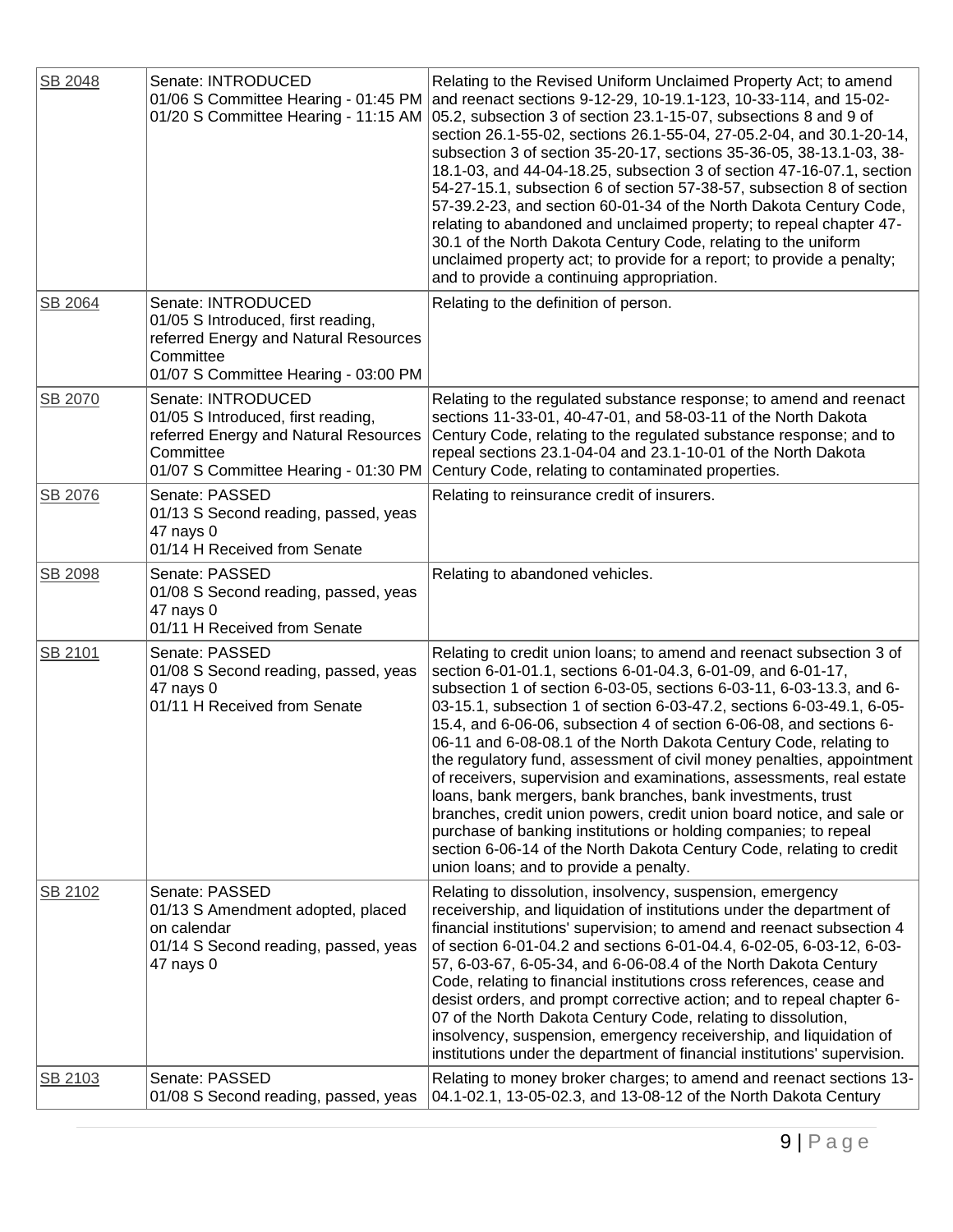| SB 2048 | Senate: INTRODUCED<br>01/06 S Committee Hearing - 01:45 PM<br>01/20 S Committee Hearing - 11:15 AM                                                     | Relating to the Revised Uniform Unclaimed Property Act; to amend<br>and reenact sections 9-12-29, 10-19.1-123, 10-33-114, and 15-02-<br>05.2, subsection 3 of section 23.1-15-07, subsections 8 and 9 of<br>section 26.1-55-02, sections 26.1-55-04, 27-05.2-04, and 30.1-20-14,<br>subsection 3 of section 35-20-17, sections 35-36-05, 38-13.1-03, 38-<br>18.1-03, and 44-04-18.25, subsection 3 of section 47-16-07.1, section<br>54-27-15.1, subsection 6 of section 57-38-57, subsection 8 of section<br>57-39.2-23, and section 60-01-34 of the North Dakota Century Code,<br>relating to abandoned and unclaimed property; to repeal chapter 47-<br>30.1 of the North Dakota Century Code, relating to the uniform<br>unclaimed property act; to provide for a report; to provide a penalty;<br>and to provide a continuing appropriation.                                                                |
|---------|--------------------------------------------------------------------------------------------------------------------------------------------------------|------------------------------------------------------------------------------------------------------------------------------------------------------------------------------------------------------------------------------------------------------------------------------------------------------------------------------------------------------------------------------------------------------------------------------------------------------------------------------------------------------------------------------------------------------------------------------------------------------------------------------------------------------------------------------------------------------------------------------------------------------------------------------------------------------------------------------------------------------------------------------------------------------------------|
| SB 2064 | Senate: INTRODUCED<br>01/05 S Introduced, first reading,<br>referred Energy and Natural Resources<br>Committee<br>01/07 S Committee Hearing - 03:00 PM | Relating to the definition of person.                                                                                                                                                                                                                                                                                                                                                                                                                                                                                                                                                                                                                                                                                                                                                                                                                                                                            |
| SB 2070 | Senate: INTRODUCED<br>01/05 S Introduced, first reading,<br>referred Energy and Natural Resources<br>Committee<br>01/07 S Committee Hearing - 01:30 PM | Relating to the regulated substance response; to amend and reenact<br>sections 11-33-01, 40-47-01, and 58-03-11 of the North Dakota<br>Century Code, relating to the regulated substance response; and to<br>repeal sections 23.1-04-04 and 23.1-10-01 of the North Dakota<br>Century Code, relating to contaminated properties.                                                                                                                                                                                                                                                                                                                                                                                                                                                                                                                                                                                 |
| SB 2076 | Senate: PASSED<br>01/13 S Second reading, passed, yeas<br>47 nays 0<br>01/14 H Received from Senate                                                    | Relating to reinsurance credit of insurers.                                                                                                                                                                                                                                                                                                                                                                                                                                                                                                                                                                                                                                                                                                                                                                                                                                                                      |
| SB 2098 | Senate: PASSED<br>01/08 S Second reading, passed, yeas<br>47 nays 0<br>01/11 H Received from Senate                                                    | Relating to abandoned vehicles.                                                                                                                                                                                                                                                                                                                                                                                                                                                                                                                                                                                                                                                                                                                                                                                                                                                                                  |
| SB 2101 | Senate: PASSED<br>01/08 S Second reading, passed, yeas<br>47 nays 0<br>01/11 H Received from Senate                                                    | Relating to credit union loans; to amend and reenact subsection 3 of<br>section 6-01-01.1, sections 6-01-04.3, 6-01-09, and 6-01-17,<br>subsection 1 of section 6-03-05, sections 6-03-11, 6-03-13.3, and 6-<br>03-15.1, subsection 1 of section 6-03-47.2, sections 6-03-49.1, 6-05-<br>15.4, and 6-06-06, subsection 4 of section 6-06-08, and sections 6-<br>06-11 and 6-08-08.1 of the North Dakota Century Code, relating to<br>the regulatory fund, assessment of civil money penalties, appointment<br>of receivers, supervision and examinations, assessments, real estate<br>loans, bank mergers, bank branches, bank investments, trust<br>branches, credit union powers, credit union board notice, and sale or<br>purchase of banking institutions or holding companies; to repeal<br>section 6-06-14 of the North Dakota Century Code, relating to credit<br>union loans; and to provide a penalty. |
| SB 2102 | Senate: PASSED<br>01/13 S Amendment adopted, placed<br>on calendar<br>01/14 S Second reading, passed, yeas<br>47 nays 0                                | Relating to dissolution, insolvency, suspension, emergency<br>receivership, and liquidation of institutions under the department of<br>financial institutions' supervision; to amend and reenact subsection 4<br>of section 6-01-04.2 and sections 6-01-04.4, 6-02-05, 6-03-12, 6-03-<br>57, 6-03-67, 6-05-34, and 6-06-08.4 of the North Dakota Century<br>Code, relating to financial institutions cross references, cease and<br>desist orders, and prompt corrective action; and to repeal chapter 6-<br>07 of the North Dakota Century Code, relating to dissolution,<br>insolvency, suspension, emergency receivership, and liquidation of<br>institutions under the department of financial institutions' supervision.                                                                                                                                                                                    |
| SB 2103 | Senate: PASSED<br>01/08 S Second reading, passed, yeas                                                                                                 | Relating to money broker charges; to amend and reenact sections 13-<br>04.1-02.1, 13-05-02.3, and 13-08-12 of the North Dakota Century                                                                                                                                                                                                                                                                                                                                                                                                                                                                                                                                                                                                                                                                                                                                                                           |